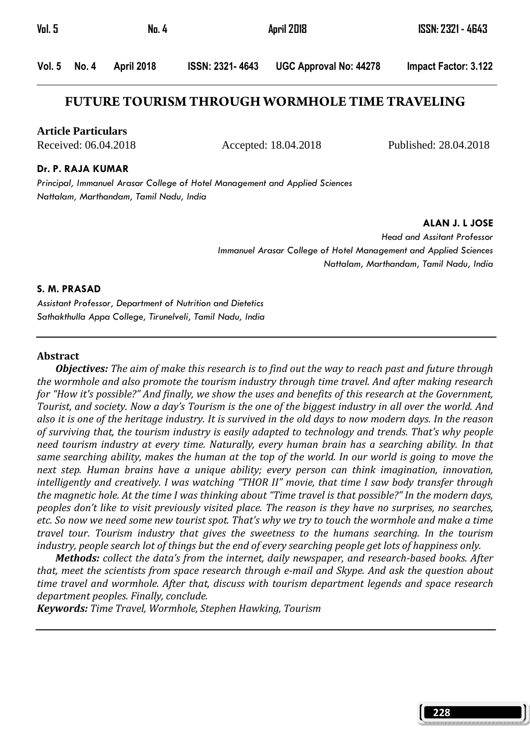| <b>Vol. 5</b> | No. 4        |            |                  | April 2018                    | ISSN: 2321 - 4643    |
|---------------|--------------|------------|------------------|-------------------------------|----------------------|
|               | Vol. 5 No. 4 | April 2018 | ISSN: 2321- 4643 | <b>UGC Approval No: 44278</b> | Impact Factor: 3.122 |

## **FUTURE TOURISM THROUGH WORMHOLE TIME TRAVELING**

**Article Particulars**

Received: 06.04.2018 Accepted: 18.04.2018 Published: 28.04.2018

#### Dr. P. RAJA KUMAR

Principal, Immanuel Arasar College of Hotel Management and Applied Sciences Nattalam, Marthandam, Tamil Nadu, India

ALAN J. L JOSE

Head and Assitant Professor Immanuel Arasar College of Hotel Management and Applied Sciences Nattalam, Marthandam, Tamil Nadu, India

#### S. M. PRASAD

Assistant Professor, Department of Nutrition and Dietetics Sathakthulla Appa College, Tirunelveli, Tamil Nadu, India

#### **Abstract**

**Objectives:** The aim of make this research is to find out the way to reach past and future through the wormhole and also promote the tourism industry through time travel. And after making research for "How it's possible?" And finally, we show the uses and benefits of this research at the Government, Tourist, and society. Now a day's Tourism is the one of the biggest industry in all over the world. And also it is one of the heritage industry. It is survived in the old days to now modern days. In the reason of surviving that, the tourism industry is easily adapted to technology and trends. That's why people need tourism industry at every time. Naturally, every human brain has a searching ability. In that same searching ability, makes the human at the top of the world. In our world is going to move the next step. Human brains have a unique ability; every person can think imagination, innovation, intelligently and creatively. I was watching "THOR II" movie, that time I saw body transfer through the magnetic hole. At the time I was thinking about "Time travel is that possible?" In the modern days, peoples don't like to visit previously visited place. The reason is they have no surprises, no searches, etc. So now we need some new tourist spot. That's why we try to touch the wormhole and make a time travel tour. Tourism industry that gives the sweetness to the humans searching. In the tourism industry, people search lot of things but the end of every searching people get lots of happiness only.

Methods: collect the data's from the internet, daily newspaper, and research-based books. After that, meet the scientists from space research through e-mail and Skype. And ask the question about time travel and wormhole. After that, discuss with tourism department legends and space research department peoples. Finally, conclude.

Keywords: Time Travel, Wormhole, Stephen Hawking, Tourism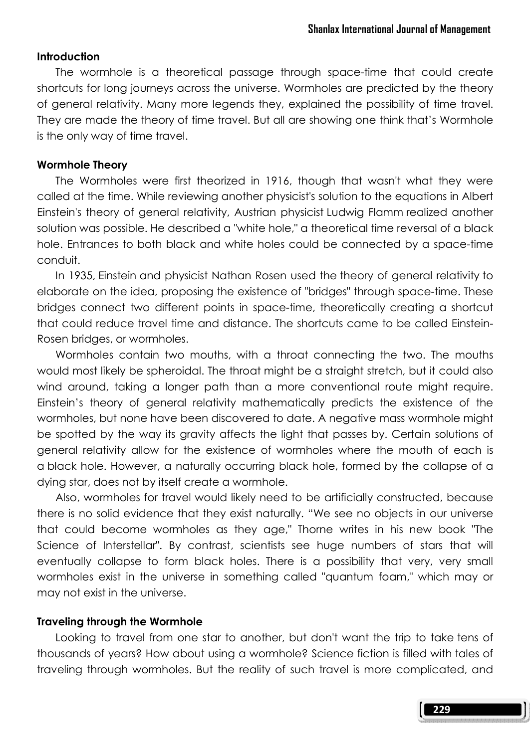### Introduction

 The wormhole is a theoretical passage through space-time that could create shortcuts for long journeys across the universe. Wormholes are predicted by the theory of general relativity. Many more legends they, explained the possibility of time travel. They are made the theory of time travel. But all are showing one think that's Wormhole is the only way of time travel.

### Wormhole Theory

 The Wormholes were first theorized in 1916, though that wasn't what they were called at the time. While reviewing another physicist's solution to the equations in Albert Einstein's theory of general relativity, Austrian physicist Ludwig Flamm realized another solution was possible. He described a "white hole," a theoretical time reversal of a black hole. Entrances to both black and white holes could be connected by a space-time conduit.

 In 1935, Einstein and physicist Nathan Rosen used the theory of general relativity to elaborate on the idea, proposing the existence of "bridges" through space-time. These bridges connect two different points in space-time, theoretically creating a shortcut that could reduce travel time and distance. The shortcuts came to be called Einstein-Rosen bridges, or wormholes.

 Wormholes contain two mouths, with a throat connecting the two. The mouths would most likely be spheroidal. The throat might be a straight stretch, but it could also wind around, taking a longer path than a more conventional route might require. Einstein's theory of general relativity mathematically predicts the existence of the wormholes, but none have been discovered to date. A negative mass wormhole might be spotted by the way its gravity affects the light that passes by. Certain solutions of general relativity allow for the existence of wormholes where the mouth of each is a black hole. However, a naturally occurring black hole, formed by the collapse of a dying star, does not by itself create a wormhole.

 Also, wormholes for travel would likely need to be artificially constructed, because there is no solid evidence that they exist naturally. "We see no objects in our universe that could become wormholes as they age," Thorne writes in his new book "The Science of Interstellar". By contrast, scientists see huge numbers of stars that will eventually collapse to form black holes. There is a possibility that very, very small wormholes exist in the universe in something called "quantum foam," which may or may not exist in the universe.

### Traveling through the Wormhole

 Looking to travel from one star to another, but don't want the trip to take tens of thousands of years? How about using a wormhole? Science fiction is filled with tales of traveling through wormholes. But the reality of such travel is more complicated, and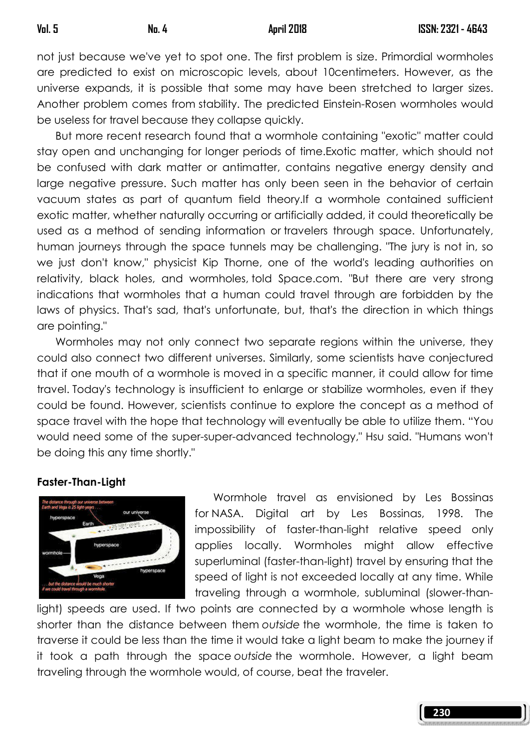not just because we've yet to spot one. The first problem is size. Primordial wormholes are predicted to exist on microscopic levels, about 10centimeters. However, as the universe expands, it is possible that some may have been stretched to larger sizes. Another problem comes from stability. The predicted Einstein-Rosen wormholes would be useless for travel because they collapse quickly.

 But more recent research found that a wormhole containing "exotic" matter could stay open and unchanging for longer periods of time.Exotic matter, which should not be confused with dark matter or antimatter, contains negative energy density and large negative pressure. Such matter has only been seen in the behavior of certain vacuum states as part of quantum field theory.If a wormhole contained sufficient exotic matter, whether naturally occurring or artificially added, it could theoretically be used as a method of sending information or travelers through space. Unfortunately, human journeys through the space tunnels may be challenging. "The jury is not in, so we just don't know," physicist Kip Thorne, one of the world's leading authorities on relativity, black holes, and wormholes, told Space.com. "But there are very strong indications that wormholes that a human could travel through are forbidden by the laws of physics. That's sad, that's unfortunate, but, that's the direction in which things are pointing."

 Wormholes may not only connect two separate regions within the universe, they could also connect two different universes. Similarly, some scientists have conjectured that if one mouth of a wormhole is moved in a specific manner, it could allow for time travel. Today's technology is insufficient to enlarge or stabilize wormholes, even if they could be found. However, scientists continue to explore the concept as a method of space travel with the hope that technology will eventually be able to utilize them. "You would need some of the super-super-advanced technology," Hsu said. "Humans won't be doing this any time shortly."

## Faster-Than-Light



 Wormhole travel as envisioned by Les Bossinas for NASA. Digital art by Les Bossinas, 1998. The impossibility of faster-than-light relative speed only applies locally. Wormholes might allow effective superluminal (faster-than-light) travel by ensuring that the speed of light is not exceeded locally at any time. While traveling through a wormhole, subluminal (slower-than-

light) speeds are used. If two points are connected by a wormhole whose length is shorter than the distance between them outside the wormhole, the time is taken to traverse it could be less than the time it would take a light beam to make the journey if it took a path through the space outside the wormhole. However, a light beam traveling through the wormhole would, of course, beat the traveler.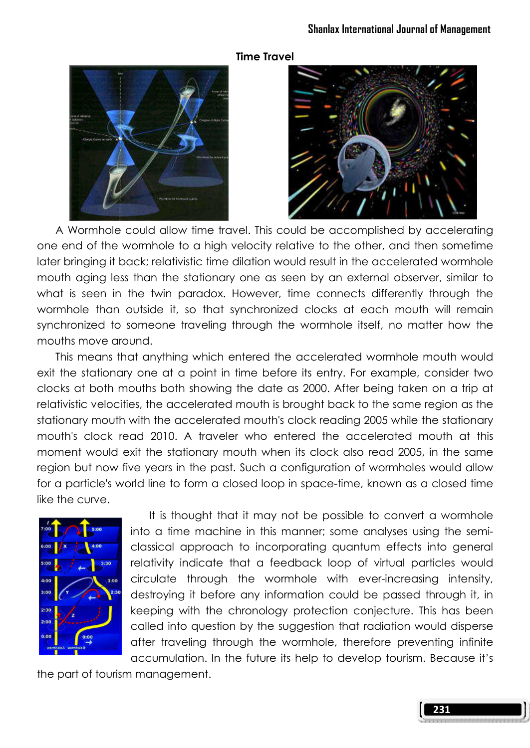

## Time Travel



 A Wormhole could allow time travel. This could be accomplished by accelerating one end of the wormhole to a high velocity relative to the other, and then sometime later bringing it back; relativistic time dilation would result in the accelerated wormhole mouth aging less than the stationary one as seen by an external observer, similar to what is seen in the twin paradox. However, time connects differently through the wormhole than outside it, so that synchronized clocks at each mouth will remain synchronized to someone traveling through the wormhole itself, no matter how the mouths move around.

 This means that anything which entered the accelerated wormhole mouth would exit the stationary one at a point in time before its entry. For example, consider two clocks at both mouths both showing the date as 2000. After being taken on a trip at relativistic velocities, the accelerated mouth is brought back to the same region as the stationary mouth with the accelerated mouth's clock reading 2005 while the stationary mouth's clock read 2010. A traveler who entered the accelerated mouth at this moment would exit the stationary mouth when its clock also read 2005, in the same region but now five years in the past. Such a configuration of wormholes would allow for a particle's world line to form a closed loop in space-time, known as a closed time like the curve.



 It is thought that it may not be possible to convert a wormhole into a time machine in this manner; some analyses using the semiclassical approach to incorporating quantum effects into general relativity indicate that a feedback loop of virtual particles would circulate through the wormhole with ever-increasing intensity, destroying it before any information could be passed through it, in keeping with the chronology protection conjecture. This has been called into question by the suggestion that radiation would disperse after traveling through the wormhole, therefore preventing infinite accumulation. In the future its help to develop tourism. Because it's

the part of tourism management.